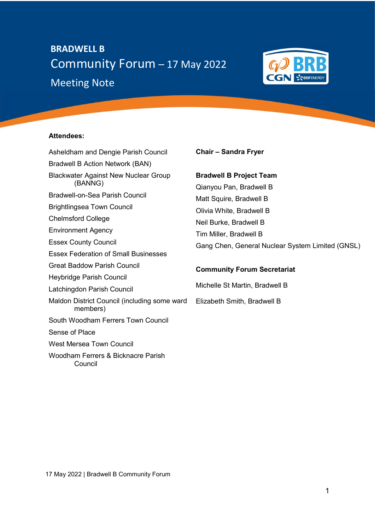# **Meeting Note** BRADWELL B Community Forum – 17 May 2022



# Attendees:

Asheldham and Dengie Parish Council Bradwell B Action Network (BAN) Blackwater Against New Nuclear Group (BANNG) Bradwell-on-Sea Parish Council Brightlingsea Town Council Chelmsford College Environment Agency Essex County Council Essex Federation of Small Businesses Great Baddow Parish Council Heybridge Parish Council Latchingdon Parish Council Maldon District Council (including some ward members) South Woodham Ferrers Town Council Sense of Place West Mersea Town Council Woodham Ferrers & Bicknacre Parish Council

## Chair – Sandra Fryer

# Bradwell B Project Team

Qianyou Pan, Bradwell B Matt Squire, Bradwell B Olivia White, Bradwell B Neil Burke, Bradwell B Tim Miller, Bradwell B Gang Chen, General Nuclear System Limited (GNSL)

# Community Forum Secretariat

Michelle St Martin, Bradwell B Elizabeth Smith, Bradwell B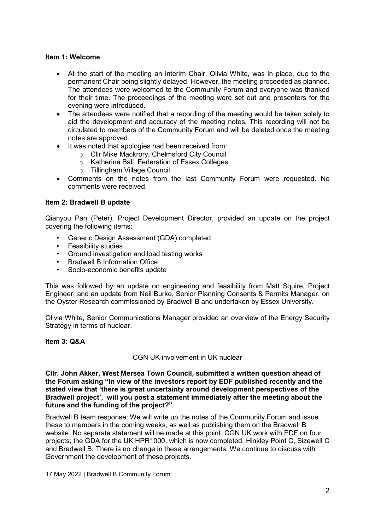# Item 1: Welcome

- At the start of the meeting an interim Chair, Olivia White, was in place, due to the permanent Chair being slightly delayed. However, the meeting proceeded as planned. The attendees were welcomed to the Community Forum and everyone was thanked for their time. The proceedings of the meeting were set out and presenters for the evening were introduced.
- The attendees were notified that a recording of the meeting would be taken solely to aid the development and accuracy of the meeting notes. This recording will not be circulated to members of the Community Forum and will be deleted once the meeting notes are approved.
- It was noted that apologies had been received from:
	- o Cllr Mike Mackrory, Chelmsford City Council
	- o Katherine Ball, Federation of Essex Colleges
	- o Tillingham Village Council
- Comments on the notes from the last Community Forum were requested. No comments were received.

# Item 2: Bradwell B update

Qianyou Pan (Peter), Project Development Director, provided an update on the project covering the following items:

- Generic Design Assessment (GDA) completed
- Feasibility studies
- Ground investigation and load testing works
- Bradwell B Information Office
- Socio-economic benefits update

This was followed by an update on engineering and feasibility from Matt Squire, Project Engineer, and an update from Neil Burke, Senior Planning Consents & Permits Manager, on the Oyster Research commissioned by Bradwell B and undertaken by Essex University.

Olivia White, Senior Communications Manager provided an overview of the Energy Security Strategy in terms of nuclear.

# Item 3: Q&A

# CGN UK involvement in UK nuclear

Cllr. John Akker, West Mersea Town Council, submitted a written question ahead of the Forum asking "In view of the investors report by EDF published recently and the stated view that 'there is great uncertainty around development perspectives of the Bradwell project', will you post a statement immediately after the meeting about the future and the funding of the project?"

Bradwell B team response: We will write up the notes of the Community Forum and issue these to members in the coming weeks, as well as publishing them on the Bradwell B website. No separate statement will be made at this point. CGN UK work with EDF on four projects; the GDA for the UK HPR1000, which is now completed, Hinkley Point C, Sizewell C and Bradwell B. There is no change in these arrangements. We continue to discuss with Government the development of these projects.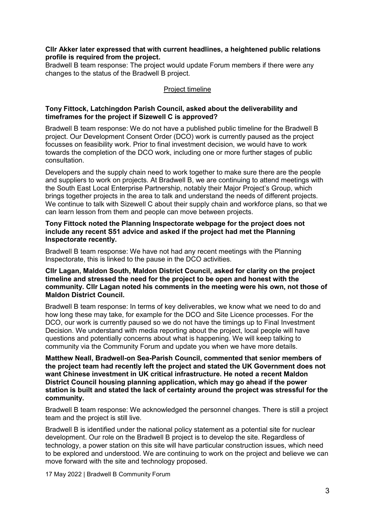## Cllr Akker later expressed that with current headlines, a heightened public relations profile is required from the project.

Bradwell B team response: The project would update Forum members if there were any changes to the status of the Bradwell B project.

## Project timeline

## Tony Fittock, Latchingdon Parish Council, asked about the deliverability and timeframes for the project if Sizewell C is approved?

Bradwell B team response: We do not have a published public timeline for the Bradwell B project. Our Development Consent Order (DCO) work is currently paused as the project focusses on feasibility work. Prior to final investment decision, we would have to work towards the completion of the DCO work, including one or more further stages of public consultation.

Developers and the supply chain need to work together to make sure there are the people and suppliers to work on projects. At Bradwell B, we are continuing to attend meetings with the South East Local Enterprise Partnership, notably their Major Project's Group, which brings together projects in the area to talk and understand the needs of different projects. We continue to talk with Sizewell C about their supply chain and workforce plans, so that we can learn lesson from them and people can move between projects.

## Tony Fittock noted the Planning Inspectorate webpage for the project does not include any recent S51 advice and asked if the project had met the Planning Inspectorate recently.

Bradwell B team response: We have not had any recent meetings with the Planning Inspectorate, this is linked to the pause in the DCO activities.

## Cllr Lagan, Maldon South, Maldon District Council, asked for clarity on the project timeline and stressed the need for the project to be open and honest with the community. Cllr Lagan noted his comments in the meeting were his own, not those of Maldon District Council.

Bradwell B team response: In terms of key deliverables, we know what we need to do and how long these may take, for example for the DCO and Site Licence processes. For the DCO, our work is currently paused so we do not have the timings up to Final Investment Decision. We understand with media reporting about the project, local people will have questions and potentially concerns about what is happening. We will keep talking to community via the Community Forum and update you when we have more details.

Matthew Neall, Bradwell-on Sea-Parish Council, commented that senior members of the project team had recently left the project and stated the UK Government does not want Chinese investment in UK critical infrastructure. He noted a recent Maldon District Council housing planning application, which may go ahead if the power station is built and stated the lack of certainty around the project was stressful for the community.

Bradwell B team response: We acknowledged the personnel changes. There is still a project team and the project is still live.

Bradwell B is identified under the national policy statement as a potential site for nuclear development. Our role on the Bradwell B project is to develop the site. Regardless of technology, a power station on this site will have particular construction issues, which need to be explored and understood. We are continuing to work on the project and believe we can move forward with the site and technology proposed.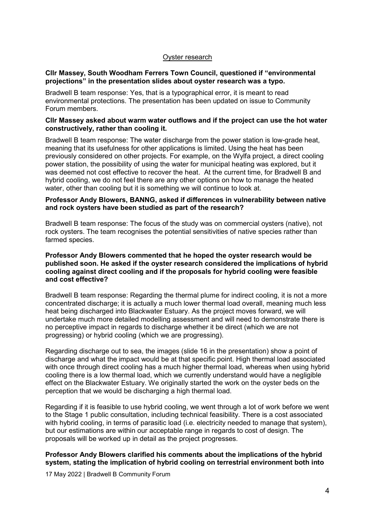# Oyster research

#### Cllr Massey, South Woodham Ferrers Town Council, questioned if "environmental projections" in the presentation slides about oyster research was a typo.

Bradwell B team response: Yes, that is a typographical error, it is meant to read environmental protections. The presentation has been updated on issue to Community Forum members.

#### Cllr Massey asked about warm water outflows and if the project can use the hot water constructively, rather than cooling it.

Bradwell B team response: The water discharge from the power station is low-grade heat, meaning that its usefulness for other applications is limited. Using the heat has been previously considered on other projects. For example, on the Wylfa project, a direct cooling power station, the possibility of using the water for municipal heating was explored, but it was deemed not cost effective to recover the heat. At the current time, for Bradwell B and hybrid cooling, we do not feel there are any other options on how to manage the heated water, other than cooling but it is something we will continue to look at.

## Professor Andy Blowers, BANNG, asked if differences in vulnerability between native and rock oysters have been studied as part of the research?

Bradwell B team response: The focus of the study was on commercial oysters (native), not rock oysters. The team recognises the potential sensitivities of native species rather than farmed species.

## Professor Andy Blowers commented that he hoped the oyster research would be published soon. He asked if the oyster research considered the implications of hybrid cooling against direct cooling and if the proposals for hybrid cooling were feasible and cost effective?

Bradwell B team response: Regarding the thermal plume for indirect cooling, it is not a more concentrated discharge; it is actually a much lower thermal load overall, meaning much less heat being discharged into Blackwater Estuary. As the project moves forward, we will undertake much more detailed modelling assessment and will need to demonstrate there is no perceptive impact in regards to discharge whether it be direct (which we are not progressing) or hybrid cooling (which we are progressing).

Regarding discharge out to sea, the images (slide 16 in the presentation) show a point of discharge and what the impact would be at that specific point. High thermal load associated with once through direct cooling has a much higher thermal load, whereas when using hybrid cooling there is a low thermal load, which we currently understand would have a negligible effect on the Blackwater Estuary. We originally started the work on the oyster beds on the perception that we would be discharging a high thermal load.

Regarding if it is feasible to use hybrid cooling, we went through a lot of work before we went to the Stage 1 public consultation, including technical feasibility. There is a cost associated with hybrid cooling, in terms of parasitic load (i.e. electricity needed to manage that system), but our estimations are within our acceptable range in regards to cost of design. The proposals will be worked up in detail as the project progresses.

# Professor Andy Blowers clarified his comments about the implications of the hybrid system, stating the implication of hybrid cooling on terrestrial environment both into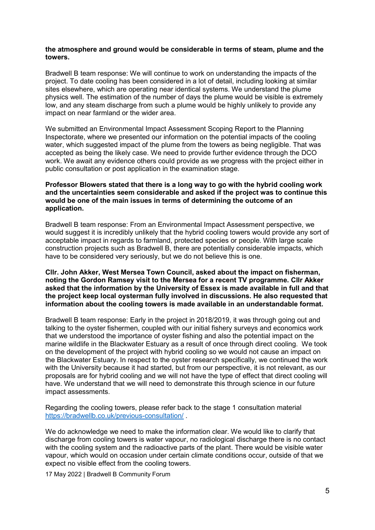## the atmosphere and ground would be considerable in terms of steam, plume and the towers.

Bradwell B team response: We will continue to work on understanding the impacts of the project. To date cooling has been considered in a lot of detail, including looking at similar sites elsewhere, which are operating near identical systems. We understand the plume physics well. The estimation of the number of days the plume would be visible is extremely low, and any steam discharge from such a plume would be highly unlikely to provide any impact on near farmland or the wider area.

We submitted an Environmental Impact Assessment Scoping Report to the Planning Inspectorate, where we presented our information on the potential impacts of the cooling water, which suggested impact of the plume from the towers as being negligible. That was accepted as being the likely case. We need to provide further evidence through the DCO work. We await any evidence others could provide as we progress with the project either in public consultation or post application in the examination stage.

## Professor Blowers stated that there is a long way to go with the hybrid cooling work and the uncertainties seem considerable and asked if the project was to continue this would be one of the main issues in terms of determining the outcome of an application.

Bradwell B team response: From an Environmental Impact Assessment perspective, we would suggest it is incredibly unlikely that the hybrid cooling towers would provide any sort of acceptable impact in regards to farmland, protected species or people. With large scale construction projects such as Bradwell B, there are potentially considerable impacts, which have to be considered very seriously, but we do not believe this is one.

## Cllr. John Akker, West Mersea Town Council, asked about the impact on fisherman, noting the Gordon Ramsey visit to the Mersea for a recent TV programme. Cllr Akker asked that the information by the University of Essex is made available in full and that the project keep local oysterman fully involved in discussions. He also requested that information about the cooling towers is made available in an understandable format.

Bradwell B team response: Early in the project in 2018/2019, it was through going out and talking to the oyster fishermen, coupled with our initial fishery surveys and economics work that we understood the importance of oyster fishing and also the potential impact on the marine wildlife in the Blackwater Estuary as a result of once through direct cooling. We took on the development of the project with hybrid cooling so we would not cause an impact on the Blackwater Estuary. In respect to the oyster research specifically, we continued the work with the University because it had started, but from our perspective, it is not relevant, as our proposals are for hybrid cooling and we will not have the type of effect that direct cooling will have. We understand that we will need to demonstrate this through science in our future impact assessments.

Regarding the cooling towers, please refer back to the stage 1 consultation material https://bradwellb.co.uk/previous-consultation/ .

We do acknowledge we need to make the information clear. We would like to clarify that discharge from cooling towers is water vapour, no radiological discharge there is no contact with the cooling system and the radioactive parts of the plant. There would be visible water vapour, which would on occasion under certain climate conditions occur, outside of that we expect no visible effect from the cooling towers.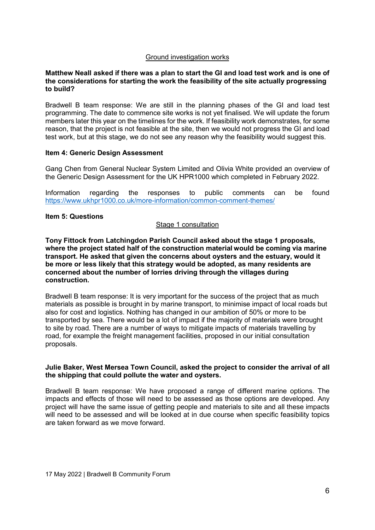## Ground investigation works

#### Matthew Neall asked if there was a plan to start the GI and load test work and is one of the considerations for starting the work the feasibility of the site actually progressing to build?

Bradwell B team response: We are still in the planning phases of the GI and load test programming. The date to commence site works is not yet finalised. We will update the forum members later this year on the timelines for the work. If feasibility work demonstrates, for some reason, that the project is not feasible at the site, then we would not progress the GI and load test work, but at this stage, we do not see any reason why the feasibility would suggest this.

#### Item 4: Generic Design Assessment

Gang Chen from General Nuclear System Limited and Olivia White provided an overview of the Generic Design Assessment for the UK HPR1000 which completed in February 2022.

Information regarding the responses to public comments can be found https://www.ukhpr1000.co.uk/more-information/common-comment-themes/

## Item 5: Questions

## Stage 1 consultation

Tony Fittock from Latchingdon Parish Council asked about the stage 1 proposals, where the project stated half of the construction material would be coming via marine transport. He asked that given the concerns about oysters and the estuary, would it be more or less likely that this strategy would be adopted, as many residents are concerned about the number of lorries driving through the villages during construction.

Bradwell B team response: It is very important for the success of the project that as much materials as possible is brought in by marine transport, to minimise impact of local roads but also for cost and logistics. Nothing has changed in our ambition of 50% or more to be transported by sea. There would be a lot of impact if the majority of materials were brought to site by road. There are a number of ways to mitigate impacts of materials travelling by road, for example the freight management facilities, proposed in our initial consultation proposals.

#### Julie Baker, West Mersea Town Council, asked the project to consider the arrival of all the shipping that could pollute the water and oysters.

Bradwell B team response: We have proposed a range of different marine options. The impacts and effects of those will need to be assessed as those options are developed. Any project will have the same issue of getting people and materials to site and all these impacts will need to be assessed and will be looked at in due course when specific feasibility topics are taken forward as we move forward.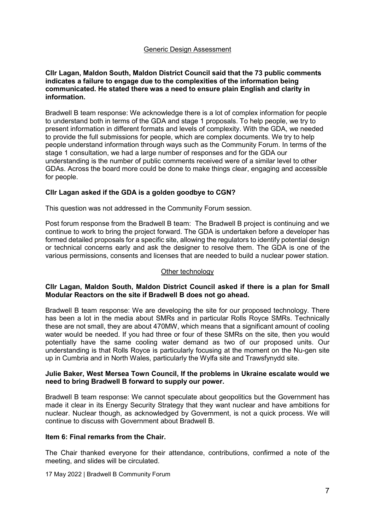## Generic Design Assessment

## Cllr Lagan, Maldon South, Maldon District Council said that the 73 public comments indicates a failure to engage due to the complexities of the information being communicated. He stated there was a need to ensure plain English and clarity in information.

Bradwell B team response: We acknowledge there is a lot of complex information for people to understand both in terms of the GDA and stage 1 proposals. To help people, we try to present information in different formats and levels of complexity. With the GDA, we needed to provide the full submissions for people, which are complex documents. We try to help people understand information through ways such as the Community Forum. In terms of the stage 1 consultation, we had a large number of responses and for the GDA our understanding is the number of public comments received were of a similar level to other GDAs. Across the board more could be done to make things clear, engaging and accessible for people.

# Cllr Lagan asked if the GDA is a golden goodbye to CGN?

This question was not addressed in the Community Forum session.

Post forum response from the Bradwell B team: The Bradwell B project is continuing and we continue to work to bring the project forward. The GDA is undertaken before a developer has formed detailed proposals for a specific site, allowing the regulators to identify potential design or technical concerns early and ask the designer to resolve them. The GDA is one of the various permissions, consents and licenses that are needed to build a nuclear power station.

#### Other technology

## Cllr Lagan, Maldon South, Maldon District Council asked if there is a plan for Small Modular Reactors on the site if Bradwell B does not go ahead.

Bradwell B team response: We are developing the site for our proposed technology. There has been a lot in the media about SMRs and in particular Rolls Royce SMRs. Technically these are not small, they are about 470MW, which means that a significant amount of cooling water would be needed. If you had three or four of these SMRs on the site, then you would potentially have the same cooling water demand as two of our proposed units. Our understanding is that Rolls Royce is particularly focusing at the moment on the Nu-gen site up in Cumbria and in North Wales, particularly the Wylfa site and Trawsfynydd site.

## Julie Baker, West Mersea Town Council, If the problems in Ukraine escalate would we need to bring Bradwell B forward to supply our power.

Bradwell B team response: We cannot speculate about geopolitics but the Government has made it clear in its Energy Security Strategy that they want nuclear and have ambitions for nuclear. Nuclear though, as acknowledged by Government, is not a quick process. We will continue to discuss with Government about Bradwell B.

#### Item 6: Final remarks from the Chair.

The Chair thanked everyone for their attendance, contributions, confirmed a note of the meeting, and slides will be circulated.